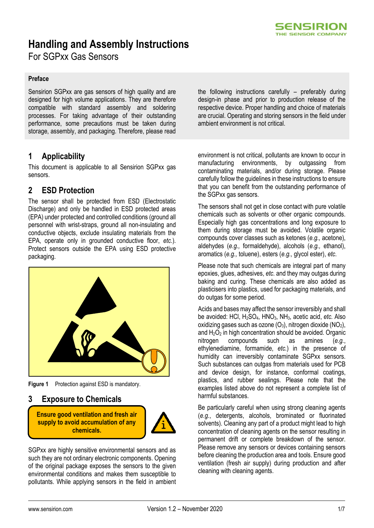

# **Handling and Assembly Instructions**

For SGPxx Gas Sensors

#### **Preface**

Sensirion SGPxx are gas sensors of high quality and are designed for high volume applications. They are therefore compatible with standard assembly and soldering processes. For taking advantage of their outstanding performance, some precautions must be taken during storage, assembly, and packaging. Therefore, please read

## **1 Applicability**

This document is applicable to all Sensirion SGPxx gas sensors.

### **2 ESD Protection**

The sensor shall be protected from ESD (Electrostatic Discharge) and only be handled in ESD protected areas (EPA) under protected and controlled conditions (ground all personnel with wrist-straps, ground all non-insulating and conductive objects, exclude insulating materials from the EPA, operate only in grounded conductive floor, *etc.*). Protect sensors outside the EPA using ESD protective packaging.



**Figure 1** Protection against ESD is mandatory.

**3 Exposure to Chemicals** 

**Ensure good ventilation and fresh air supply to avoid accumulation of any chemicals.**



SGPxx are highly sensitive environmental sensors and as such they are not ordinary electronic components. Opening of the original package exposes the sensors to the given environmental conditions and makes them susceptible to pollutants. While applying sensors in the field in ambient the following instructions carefully – preferably during design-in phase and prior to production release of the respective device. Proper handling and choice of materials are crucial. Operating and storing sensors in the field under ambient environment is not critical.

environment is not critical, pollutants are known to occur in manufacturing environments, by outgassing from contaminating materials, and/or during storage. Please carefully follow the guidelines in these instructions to ensure that you can benefit from the outstanding performance of the SGPxx gas sensors.

The sensors shall not get in close contact with pure volatile chemicals such as solvents or other organic compounds. Especially high gas concentrations and long exposure to them during storage must be avoided. Volatile organic compounds cover classes such as ketones (*e.g.,* acetone), aldehydes (*e.g.,* formaldehyde), alcohols (*e.g.,* ethanol), aromatics (*e.g.,* toluene), esters (*e.g.,* glycol ester), *etc*.

Please note that such chemicals are integral part of many epoxies, glues, adhesives, *etc.* and they may outgas during baking and curing. These chemicals are also added as plasticisers into plastics, used for packaging materials, and do outgas for some period.

Acids and bases may affect the sensor irreversibly and shall be avoided: HCl, H2SO4, HNO3, NH3, acetic acid, *etc.* Also oxidizing gases such as ozone  $(O_3)$ , nitrogen dioxide  $(NO_2)$ , and  $H_2O_2$  in high concentration should be avoided. Organic nitrogen compounds such as amines (*e.g.*, ethylenediamine, formamide, *etc.*) in the presence of humidity can irreversibly contaminate SGPxx sensors. Such substances can outgas from materials used for PCB and device design, for instance, conformal coatings, plastics, and rubber sealings. Please note that the examples listed above do not represent a complete list of harmful substances.

Be particularly careful when using strong cleaning agents (*e.g.*, detergents, alcohols, brominated or fluorinated solvents). Cleaning any part of a product might lead to high concentration of cleaning agents on the sensor resulting in permanent drift or complete breakdown of the sensor. Please remove any sensors or devices containing sensors before cleaning the production area and tools. Ensure good ventilation (fresh air supply) during production and after cleaning with cleaning agents.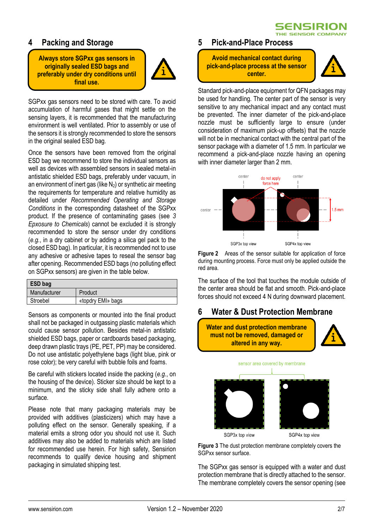**SENSIRION** THE SENSOR COMPANY

## **4 Packing and Storage**

**Always store SGPxx gas sensors in originally sealed ESD bags and preferably under dry conditions until final use.**



SGPxx gas sensors need to be stored with care. To avoid accumulation of harmful gases that might settle on the sensing layers, it is recommended that the manufacturing environment is well ventilated. Prior to assembly or use of the sensors it is strongly recommended to store the sensors in the original sealed ESD bag.

Once the sensors have been removed from the original ESD bag we recommend to store the individual sensors as well as devices with assembled sensors in sealed metal-in antistatic shielded ESD bags, preferably under vacuum, in an environment of inert gas (like  $N_2$ ) or synthetic air meeting the requirements for temperature and relative humidity as detailed under *Recommended Operating and Storage Conditions* in the corresponding datasheet of the SGPxx product. If the presence of contaminating gases (see *3 Epxosure to Chemicals*) cannot be excluded it is strongly recommended to store the sensor under dry conditions (*e.g.*, in a dry cabinet or by adding a silica gel pack to the closed ESD bag). In particular, it is recommended not to use any adhesive or adhesive tapes to reseal the sensor bag after opening. Recommended ESD bags (no polluting effect on SGPxx sensors) are given in the table below.

| ESD bag      |                   |
|--------------|-------------------|
| Manufacturer | Product           |
| Stroebel     | «topdry EMI» bags |

Sensors as components or mounted into the final product shall not be packaged in outgassing plastic materials which could cause sensor pollution. Besides metal-in antistatic shielded ESD bags, paper or cardboards based packaging, deep drawn plastic trays (PE, PET, PP) may be considered. Do not use antistatic polyethylene bags (light blue, pink or rose color); be very careful with bubble foils and foams.

Be careful with stickers located inside the packing (*e.g.*, on the housing of the device). Sticker size should be kept to a minimum, and the sticky side shall fully adhere onto a surface.

Please note that many packaging materials may be provided with additives (plasticizers) which may have a polluting effect on the sensor. Generally speaking, if a material emits a strong odor you should not use it. Such additives may also be added to materials which are listed for recommended use herein. For high safety, Sensirion recommends to qualify device housing and shipment packaging in simulated shipping test.

#### **5 Pick-and-Place Process**

**Avoid mechanical contact during pick-and-place process at the sensor center.**



Standard pick-and-place equipment for QFN packages may be used for handling. The center part of the sensor is very sensitive to any mechanical impact and any contact must be prevented. The inner diameter of the pick-and-place nozzle must be sufficiently large to ensure (under consideration of maximum pick-up offsets) that the nozzle will not be in mechanical contact with the central part of the sensor package with a diameter of 1.5 mm. In particular we recommend a pick-and-place nozzle having an opening with inner diameter larger than 2 mm.



**Figure 2** Areas of the sensor suitable for application of force during mounting process. Force must only be applied outside the red area.

The surface of the tool that touches the module outside of the center area should be flat and smooth. Pick-and-place forces should not exceed 4 N during downward placement.

## **6 Water & Dust Protection Membrane**



<span id="page-1-0"></span>**Figure 3** The dust protection membrane completely covers the SGPxx sensor surface.

The SGPxx gas sensor is equipped with a water and dust protection membrane that is directly attached to the sensor. The membrane completely covers the sensor opening (see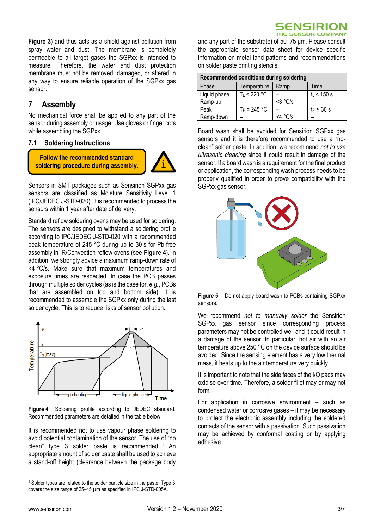

**[Figure 3](#page-1-0)**) and thus acts as a shield against pollution from spray water and dust. The membrane is completely permeable to all target gases the SGPxx is intended to measure. Therefore, the water and dust protection membrane must not be removed, damaged, or altered in any way to ensure reliable operation of the SGPxx gas sensor.

## <span id="page-2-1"></span>**7 Assembly**

No mechanical force shall be applied to any part of the sensor during assembly or usage. Use gloves or finger cots while assembling the SGPxx.

#### **7.1 Soldering Instructions**

**Follow the recommended standard soldering procedure during assembly.**



Sensors in SMT packages such as Sensirion SGPxx gas sensors are classified as Moisture Sensitivity Level 1 (IPC/JEDEC J-STD-020). It is recommended to process the sensors within 1 year after date of delivery.

Standard reflow soldering ovens may be used for soldering. The sensors are designed to withstand a soldering profile according to IPC/JEDEC J-STD-020 with a recommended peak temperature of 245 °C during up to 30 s for Pb-free assembly in IR/Convection reflow ovens (see **[Figure 4](#page-2-0)**). In addition, we strongly advice a maximum ramp-down rate of <4 °C/s. Make sure that maximum temperatures and exposure times are respected. In case the PCB passes through multiple solder cycles (as is the case for, *e.g.*, PCBs that are assembled on top and bottom side), it is recommended to assemble the SGPxx only during the last solder cycle. This is to reduce risks of sensor pollution.



<span id="page-2-0"></span>**Figure 4** Soldering profile according to JEDEC standard. Recommended parameters are detailed in the table below.

It is recommended not to use vapour phase soldering to avoid potential contamination of the sensor. The use of "no clean" type 3 solder paste is recommended. <sup>1</sup> An appropriate amount of solder paste shall be used to achieve a stand-off height (clearance between the package body

and any part of the substrate) of 50–75 μm. Please consult the appropriate sensor data sheet for device specific information on metal land patterns and recommendations on solder paste printing stencils.

| Recommended conditions during soldering |                |            |                 |  |
|-----------------------------------------|----------------|------------|-----------------|--|
| Phase                                   | Temperature    | Ramp       | Time            |  |
| Liquid phase                            | T∟ < 220 °C    |            | $t_L < 150$ s   |  |
| Ramp-up                                 |                | $<$ 3 °C/s |                 |  |
| Peak                                    | $T_P = 245 °C$ |            | $t_P \leq 30$ s |  |
| Ramp-down                               |                | <4 °C/s    |                 |  |

Board wash shall be avoided for Sensirion SGPxx gas sensors and it is therefore recommended to use a "noclean" solder paste. In addition, we recommend *not to use ultrasonic cleaning* since it could result in damage of the sensor. If a board wash is a requirement for the final product or application, the corresponding wash process needs to be properly qualified in order to prove compatibility with the SGPxx gas sensor.



**Figure 5** Do not apply board wash to PCBs containing SGPxx sensors.

We recommend *not to manually solder* the Sensirion SGPxx gas sensor since corresponding process parameters may not be controlled well and it could result in a damage of the sensor. In particular, hot air with an air temperature above 250 °C on the device surface should be avoided. Since the sensing element has a very low thermal mass, it heats up to the air temperature very quickly.

It is important to note that the side faces of the I/O pads may oxidise over time. Therefore, a solder fillet may or may not form.

For application in corrosive environment – such as condensed water or corrosive gases – it may be necessary to protect the electronic assembly including the soldered contacts of the sensor with a passivation. Such passivation may be achieved by conformal coating or by applying adhesive.

<sup>1</sup> Solder types are related to the solder particle size in the paste: Type 3 covers the size range of 25–45 µm as specified in IPC J-STD-005A.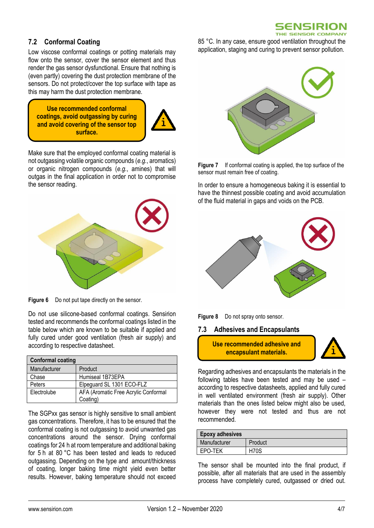#### 5ENSIRION THE SENSOR COMPANY

#### **7.2 Conformal Coating**

Low viscose conformal coatings or potting materials may flow onto the sensor, cover the sensor element and thus render the gas sensor dysfunctional. Ensure that nothing is (even partly) covering the dust protection membrane of the sensors. Do not protect/cover the top surface with tape as this may harm the dust protection membrane.

**Use recommended conformal coatings, avoid outgassing by curing and avoid covering of the sensor top surface.**



Make sure that the employed conformal coating material is not outgassing volatile organic compounds (*e.g.*, aromatics) or organic nitrogen compounds (*e.g.*, amines) that will outgas in the final application in order not to compromise the sensor reading.



**Figure 6** Do not put tape directly on the sensor.

Do not use silicone-based conformal coatings. Sensirion tested and recommends the conformal coatings listed in the table below which are known to be suitable if applied and fully cured under good ventilation (fresh air supply) and according to respective datasheet.

| <b>Conformal coating</b> |                                      |
|--------------------------|--------------------------------------|
| Manufacturer             | Product                              |
| Chase                    | Humiseal 1B73EPA                     |
| Peters                   | Elpeguard SL 1301 ECO-FLZ            |
| Electrolube              | AFA (Aromatic Free Acrylic Conformal |
|                          | Coating)                             |

The SGPxx gas sensor is highly sensitive to small ambient gas concentrations. Therefore, it has to be ensured that the conformal coating is not outgassing to avoid unwanted gas concentrations around the sensor. Drying conformal coatings for 24 h at room temperature and additional baking for 5 h at 80 °C has been tested and leads to reduced outgassing. Depending on the type and amount/thickness of coating, longer baking time might yield even better results. However, baking temperature should not exceed

85 °C. In any case, ensure good ventilation throughout the application, staging and curing to prevent sensor pollution.



**Figure 7** If conformal coating is applied, the top surface of the sensor must remain free of coating.

In order to ensure a homogeneous baking it is essential to have the thinnest possible coating and avoid accumulation of the fluid material in gaps and voids on the PCB.



**Figure 8** Do not spray onto sensor.

#### **7.3 Adhesives and Encapsulants**

**Use recommended adhesive and encapsulant materials.**



Regarding adhesives and encapsulants the materials in the following tables have been tested and may be used – according to respective datasheets, applied and fully cured in well ventilated environment (fresh air supply). Other materials than the ones listed below might also be used, however they were not tested and thus are not recommended.

| <b>Epoxy adhesives</b> |             |
|------------------------|-------------|
| Manufacturer           | Product     |
| EPO-TEK                | <b>H70S</b> |

The sensor shall be mounted into the final product, if possible, after all materials that are used in the assembly process have completely cured, outgassed or dried out.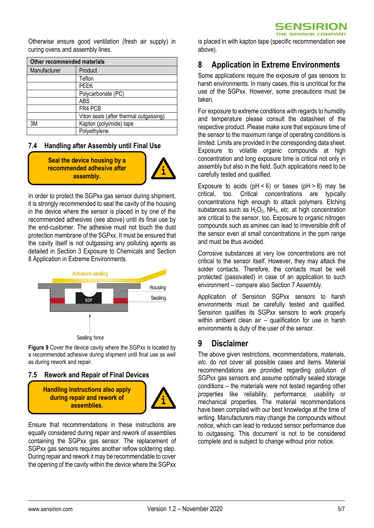

Otherwise ensure good ventilation (fresh air supply) in curing ovens and assembly lines.

| Other recommended materials |                                        |  |
|-----------------------------|----------------------------------------|--|
| Manufacturer                | Product                                |  |
|                             | Teflon                                 |  |
|                             | <b>PEEK</b>                            |  |
|                             | Polycarbonate (PC)                     |  |
|                             | ABS                                    |  |
|                             | FR4 PCB                                |  |
|                             | Viton seals (after thermal outgassing) |  |
| 3M                          | Kapton (polyimide) tape                |  |
|                             | Polyethylene                           |  |

#### **7.4 Handling after Assembly until Final Use**

**Seal the device housing by a recommended adhesive after assembly.**



In order to protect the SGPxx gas sensor during shipment, it is strongly recommended to seal the cavity of the housing in the device where the sensor is placed in by one of the recommended adhesives (see above) until its final use by the end-customer. The adhesive must not touch the dust protection membrane of the SGPxx. It must be ensured that the cavity itself is not outgassing any polluting agents as detailed in Section 3 Exposure to Chemicals and Section 8 Application in Extreme Environments.



**Figure 9** Cover the device cavity where the SGPxx is located by a recommended adhesive during shipment until final use as well as during rework and repair.

#### **7.5 Rework and Repair of Final Devices**

**Handling instructions also apply during repair and rework of assemblies.**



Ensure that recommendations in these instructions are equally considered during repair and rework of assemblies containing the SGPxx gas sensor. The replacement of SGPxx gas sensors requires another reflow soldering step. During repair and rework it may be recommendable to cover the opening of the cavity within the device where the SGPxx is placed in with kapton tape (specific recommendation see above).

## **8 Application in Extreme Environments**

Some applications require the exposure of gas sensors to harsh environments. In many cases, this is uncritical for the use of the SGPxx. However, some precautions must be taken.

For exposure to extreme conditions with regards to humidity and temperature please consult the datasheet of the respective product. Please make sure that exposure time of the sensor to the maximum range of operating conditions is limited. Limits are provided in the corresponding data sheet. Exposure to volatile organic compounds at high concentration and long exposure time is critical not only in assembly but also in the field. Such applications need to be carefully tested and qualified.

Exposure to acids  $(pH < 6)$  or bases  $(pH > 8)$  may be critical, too. Critical concentrations are typically concentrations high enough to attack polymers. Etching substances such as H<sub>2</sub>O<sub>2</sub>, NH<sub>3</sub>, *etc.* at high concentration are critical to the sensor, too. Exposure to organic nitrogen compounds such as amines can lead to irreversible drift of the sensor even at small concentrations in the ppm range and must be thus avoided.

Corrosive substances at very low concentrations are not critical to the sensor itself. However, they may attack the solder contacts. Therefore, the contacts must be well protected (passivated) in case of an application to such environment – compare also Sectio[n 7](#page-2-1) [Assembly.](#page-2-1)

Application of Sensirion SGPxx sensors to harsh environments must be carefully tested and qualified. Sensirion qualifies its SGPxx sensors to work properly within ambient clean air – qualification for use in harsh environments is duty of the user of the sensor.

## **9 Disclaimer**

The above given restrictions, recommendations, materials, *etc.* do not cover all possible cases and items. Material recommendations are provided regarding pollution of SGPxx gas sensors and assume optimally sealed storage conditions – the materials were not tested regarding other properties like reliability, performance, usability or mechanical properties. The material recommendations have been compiled with our best knowledge at the time of writing. Manufacturers may change the compounds without notice, which can lead to reduced sensor performance due to outgassing. This document is not to be considered complete and is subject to change without prior notice.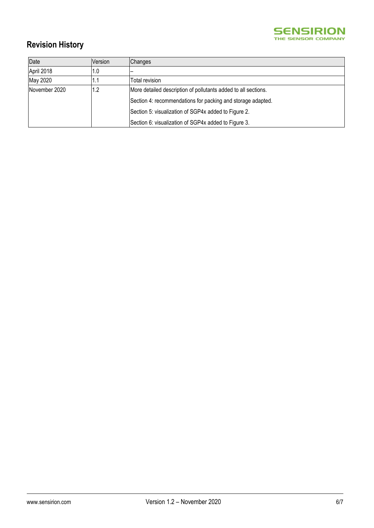

# **Revision History**

| Date          | Version | Changes                                                        |
|---------------|---------|----------------------------------------------------------------|
| April 2018    | 1.0     |                                                                |
| May 2020      | L.I     | Total revision                                                 |
| November 2020 | 1.2     | More detailed description of pollutants added to all sections. |
|               |         | Section 4: recommendations for packing and storage adapted.    |
|               |         | Section 5: visualization of SGP4x added to Figure 2.           |
|               |         | Section 6: visualization of SGP4x added to Figure 3.           |